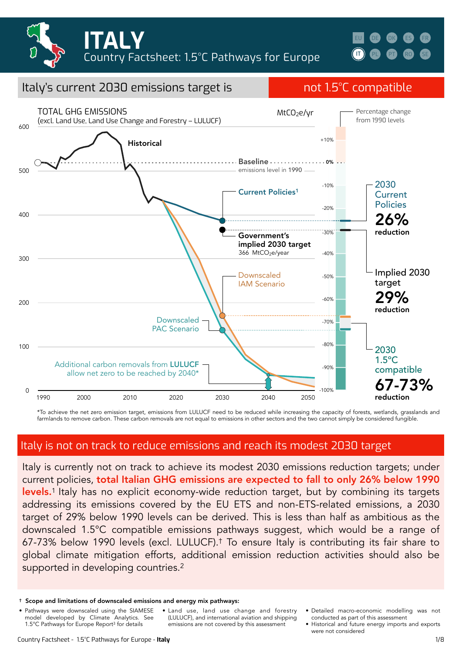



compatible

reduction

-100%

67-73%

#### 100 200 300 400  $500$ 600 Downscaled IAM Scenario **Historical** Downscaled PAC Scenario TOTAL GHG EMISSIONS (excl. Land Use, Land Use Change and Forestry – LULUCF) Current Policies1 366 MtCO<sub>2</sub>e/year 2030 **Current** Policies 26% reduction Implied 2030 target 29% reduction 2030 1.5ºC MtCO<sub>2</sub>e/yr Additional carbon removals from LULUCF Government's implied 2030 target Baseline .................. 0% emissions level in 1990 -10% -20% -30%  $-40%$ -50% -60% -70% -80% -90% +10% Percentage change from 1990 levels

Italy's current 2030 emissions target is not 1.5°C compatible

\*To achieve the net zero emission target, emissions from LULUCF need to be reduced while increasing the capacity of forests, wetlands, grasslands and farmlands to remove carbon. These carbon removals are not equal to emissions in other sectors and the two cannot simply be considered fungible.

#### Italy is not on track to reduce emissions and reach its modest 2030 target

1990 2000 2010 2020 2030 2040 2050

1990 2050

Italy is currently not on track to achieve its modest 2030 emissions reduction targets; under current policies, total Italian GHG emissions are expected to fall to only 26% below 1990 levels.<sup>1</sup> Italy has no explicit economy-wide reduction target, but by combining its targets addressing its emissions covered by the EU ETS and non-ETS-related emissions, a 2030 target of 29% below 1990 levels can be derived. This is less than half as ambitious as the downscaled 1.5°C compatible emissions pathways suggest, which would be a range of 67-73% below 1990 levels (excl. LULUCF).† To ensure Italy is contributing its fair share to global climate mitigation efforts, additional emission reduction activities should also be supported in developing countries.<sup>2</sup>

allow net zero to be reached by 2040\*

• Pathways were downscaled using the SIAMESE model developed by Climate Analytics. See 1.5°C Pathways for Europe Report3 for details

 $\Omega$ 

- Land use, land use change and forestry (LULUCF), and international aviation and shipping emissions are not covered by this assessment
- Detailed macro-economic modelling was not conducted as part of this assessment
- Historical and future energy imports and exports were not considered

<sup>†</sup> Scope and limitations of downscaled emissions and energy mix pathways: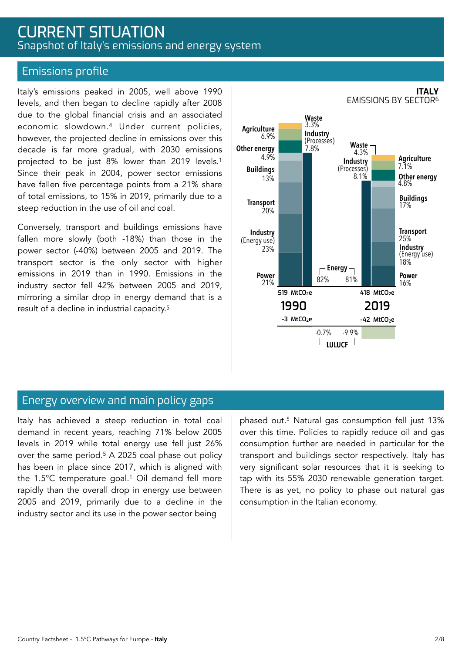### CURRENT SITUATION Snapshot of Italy's emissions and energy system

#### Emissions profile

Italy's emissions peaked in 2005, well above 1990 levels, and then began to decline rapidly after 2008 due to the global financial crisis and an associated economic slowdown.4 Under current policies, however, the projected decline in emissions over this decade is far more gradual, with 2030 emissions projected to be just 8% lower than 2019 levels.1 Since their peak in 2004, power sector emissions have fallen five percentage points from a 21% share of total emissions, to 15% in 2019, primarily due to a steep reduction in the use of oil and coal.

Conversely, transport and buildings emissions have fallen more slowly (both -18%) than those in the power sector (-40%) between 2005 and 2019. The transport sector is the only sector with higher emissions in 2019 than in 1990. Emissions in the industry sector fell 42% between 2005 and 2019, mirroring a similar drop in energy demand that is a result of a decline in industrial capacity.5



#### **ITALY** EMISSIONS BY SECTOR6

#### Energy overview and main policy gaps

Italy has achieved a steep reduction in total coal demand in recent years, reaching 71% below 2005 levels in 2019 while total energy use fell just 26% over the same period.5 A 2025 coal phase out policy has been in place since 2017, which is aligned with the 1.5°C temperature goal.<sup>1</sup> Oil demand fell more rapidly than the overall drop in energy use between 2005 and 2019, primarily due to a decline in the industry sector and its use in the power sector being

phased out.5 Natural gas consumption fell just 13% over this time. Policies to rapidly reduce oil and gas consumption further are needed in particular for the transport and buildings sector respectively. Italy has very significant solar resources that it is seeking to tap with its 55% 2030 renewable generation target. There is as yet, no policy to phase out natural gas consumption in the Italian economy.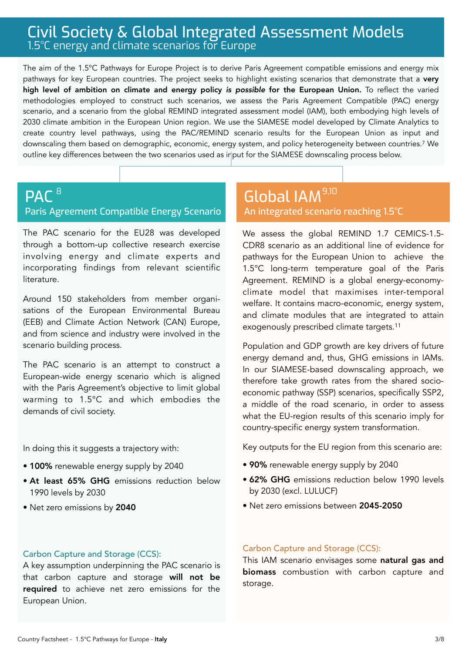### Civil Society & Global Integrated Assessment Models 1.5°C energy and climate scenarios for Europe

The aim of the 1.5°C Pathways for Europe Project is to derive Paris Agreement compatible emissions and energy mix pathways for key European countries. The project seeks to highlight existing scenarios that demonstrate that a very high level of ambition on climate and energy policy *is possible* for the European Union. To reflect the varied methodologies employed to construct such scenarios, we assess the Paris Agreement Compatible (PAC) energy scenario, and a scenario from the global REMIND integrated assessment model (IAM), both embodying high levels of 2030 climate ambition in the European Union region. We use the SIAMESE model developed by Climate Analytics to create country level pathways, using the PAC/REMIND scenario results for the European Union as input and downscaling them based on demographic, economic, energy system, and policy heterogeneity between countries.7 We outline key differences between the two scenarios used as input for the SIAMESE downscaling process below.

#### **PAC<sup>8</sup>** Paris Agreement Compatible Energy Scenario  $\blacksquare$ <sup>8</sup>,100  $\blacksquare$  Global IAM  $^{9,10}$

The PAC scenario for the EU28 was developed through a bottom-up collective research exercise involving energy and climate experts and incorporating findings from relevant scientific literature.

Around 150 stakeholders from member organisations of the European Environmental Bureau (EEB) and Climate Action Network (CAN) Europe, and from science and industry were involved in the scenario building process.

The PAC scenario is an attempt to construct a European-wide energy scenario which is aligned with the Paris Agreement's objective to limit global warming to 1.5°C and which embodies the demands of civil society.

In doing this it suggests a trajectory with:

- 100% renewable energy supply by 2040
- At least 65% GHG emissions reduction below 1990 levels by 2030
- Net zero emissions by 2040

# An integrated scenario reaching 1.5°C

We assess the global REMIND 1.7 CEMICS-1.5- CDR8 scenario as an additional line of evidence for pathways for the European Union to achieve the 1.5°C long-term temperature goal of the Paris Agreement. REMIND is a global energy-economyclimate model that maximises inter-temporal welfare. It contains macro-economic, energy system, and climate modules that are integrated to attain exogenously prescribed climate targets.11

Population and GDP growth are key drivers of future energy demand and, thus, GHG emissions in IAMs. In our SIAMESE-based downscaling approach, we therefore take growth rates from the shared socioeconomic pathway (SSP) scenarios, specifically SSP2, a middle of the road scenario, in order to assess what the EU-region results of this scenario imply for country-specific energy system transformation.

Key outputs for the EU region from this scenario are:

- 90% renewable energy supply by 2040
- 62% GHG emissions reduction below 1990 levels by 2030 (excl. LULUCF)
- Net zero emissions between 2045-2050

#### Carbon Capture and Storage (CCS):

A key assumption underpinning the PAC scenario is that carbon capture and storage will not be required to achieve net zero emissions for the European Union.

#### Carbon Capture and Storage (CCS):

This IAM scenario envisages some natural gas and biomass combustion with carbon capture and storage.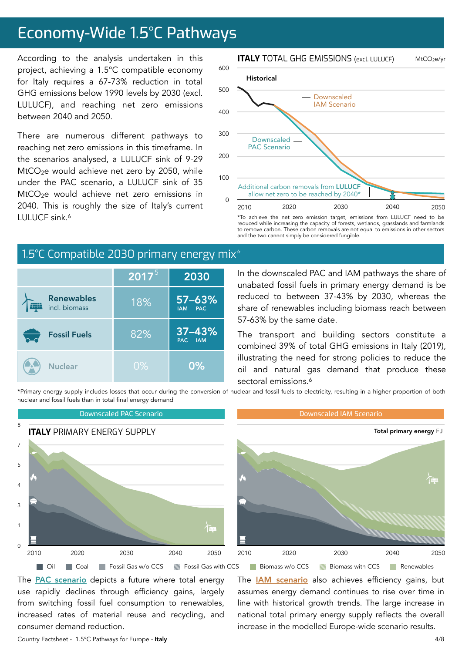# Economy-Wide 1.5°C Pathways

According to the analysis undertaken in this project, achieving a 1.5°C compatible economy for Italy requires a 67-73% reduction in total GHG emissions below 1990 levels by 2030 (excl. LULUCF), and reaching net zero emissions between 2040 and 2050.

There are numerous different pathways to reaching net zero emissions in this timeframe. In the scenarios analysed, a LULUCF sink of 9-29 MtCO<sub>2</sub>e would achieve net zero by 2050, while under the PAC scenario, a LULUCF sink of 35 MtCO<sub>2</sub>e would achieve net zero emissions in 2040. This is roughly the size of Italy's current LULUCF sink.6

# 1.5°C Compatible 2030 primary energy mix<sup>\*</sup>

|                                    | $2017^5$ | 2030                                   |
|------------------------------------|----------|----------------------------------------|
| <b>Renewables</b><br>incl. biomass | 18%      | $57 - 63%$<br><b>PAC</b><br><b>IAM</b> |
| <b>Fossil Fuels</b>                | 82%      | $37 - 43%$<br>PAC IAM                  |
| <b>Nuclear</b>                     | $0\%$    | 0%                                     |

In the downscaled PAC and IAM pathways the share of unabated fossil fuels in primary energy demand is be reduced to between 37-43% by 2030, whereas the share of renewables including biomass reach between 57-63% by the same date.

reduced while increasing the capacity of forests, wetlands, grasslands and farmlands to remove carbon. These carbon removals are not equal to emissions in other sectors

and the two cannot simply be considered fungible.

The transport and building sectors constitute a combined 39% of total GHG emissions in Italy (2019), illustrating the need for strong policies to reduce the oil and natural gas demand that produce these sectoral emissions.<sup>6</sup>

\*Primary energy supply includes losses that occur during the conversion of nuclear and fossil fuels to electricity, resulting in a higher proportion of both nuclear and fossil fuels than in total final energy demand



The **PAC** scenario depicts a future where total energy use rapidly declines through efficiency gains, largely from switching fossil fuel consumption to renewables, increased rates of material reuse and recycling, and consumer demand reduction.

The **[IAM scenario](https://www.pik-potsdam.de/en/institute/departments/transformation-pathways/models/remind/remind16_description_2015_11_30_final#:~:text=REMIND%20is%20a%20global%20energy,inter-temporal%20welfare%20is%20maximized.&text=Macro-economic%20production%20factors%20are,,%20labor,%20and%20final%20energy.)** also achieves efficiency gains, but assumes energy demand continues to rise over time in line with historical growth trends. The large increase in national total primary energy supply reflects the overall increase in the modelled Europe-wide scenario results.

#### **ITALY** TOTAL GHG EMISSIONS (excl. LULUCF) MtCO2e/yr



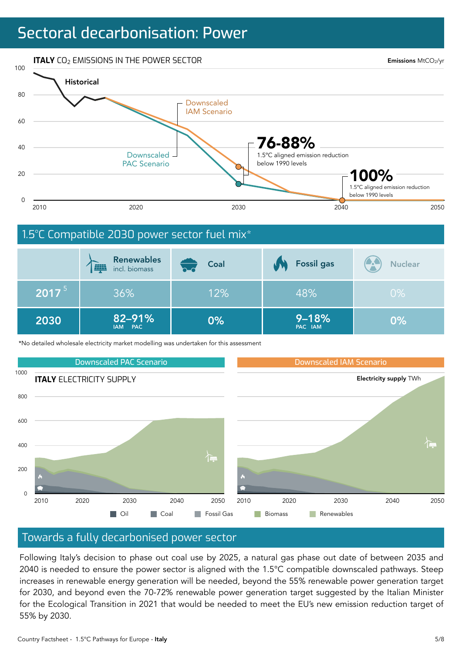# Sectoral decarbonisation: Power



|          | <b>Renewables</b><br><b>EQUA</b><br>incl. biomass | Coal | <b>Fossil gas</b>    | <b>Nuclear</b> |
|----------|---------------------------------------------------|------|----------------------|----------------|
| $2017^5$ | 36%                                               | 12%  | 48%                  | $0\%$          |
| 2030     | 82-91%<br>IAM PAC                                 | 0%   | $9 - 18%$<br>PAC IAM | $0\%$          |

\*No detailed wholesale electricity market modelling was undertaken for this assessment



#### Towards a fully decarbonised power sector

Following Italy's decision to phase out coal use by 2025, a natural gas phase out date of between 2035 and 2040 is needed to ensure the power sector is aligned with the 1.5°C compatible downscaled pathways. Steep increases in renewable energy generation will be needed, beyond the 55% renewable power generation target for 2030, and beyond even the 70-72% renewable power generation target suggested by the Italian Minister for the Ecological Transition in 2021 that would be needed to meet the EU's new emission reduction target of 55% by 2030.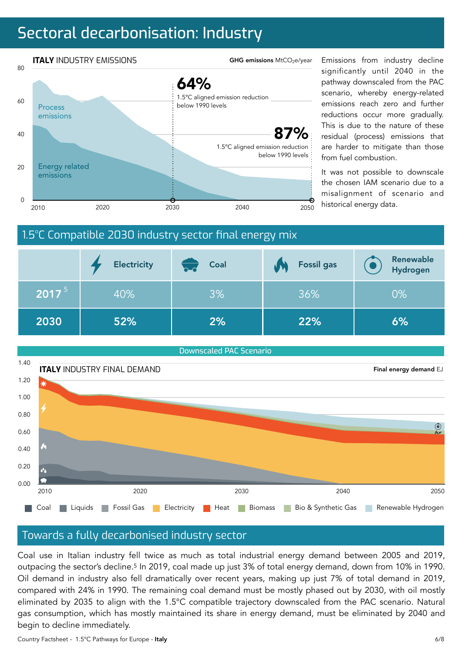# Sectoral decarbonisation: Industry



significantly until 2040 in the pathway downscaled from the PAC scenario, whereby energy-related emissions reach zero and further reductions occur more gradually. This is due to the nature of these residual (process) emissions that are harder to mitigate than those from fuel combustion.

It was not possible to downscale the chosen IAM scenario due to a misalignment of scenario and





#### Towards a fully decarbonised industry sector

Coal use in Italian industry fell twice as much as total industrial energy demand between 2005 and 2019, outpacing the sector's decline.5 In 2019, coal made up just 3% of total energy demand, down from 10% in 1990. Oil demand in industry also fell dramatically over recent years, making up just 7% of total demand in 2019, compared with 24% in 1990. The remaining coal demand must be mostly phased out by 2030, with oil mostly eliminated by 2035 to align with the 1.5°C compatible trajectory downscaled from the PAC scenario. Natural gas consumption, which has mostly maintained its share in energy demand, must be eliminated by 2040 and begin to decline immediately.

Country Factsheet - 1.5°C Pathways for Europe - Italy 6/8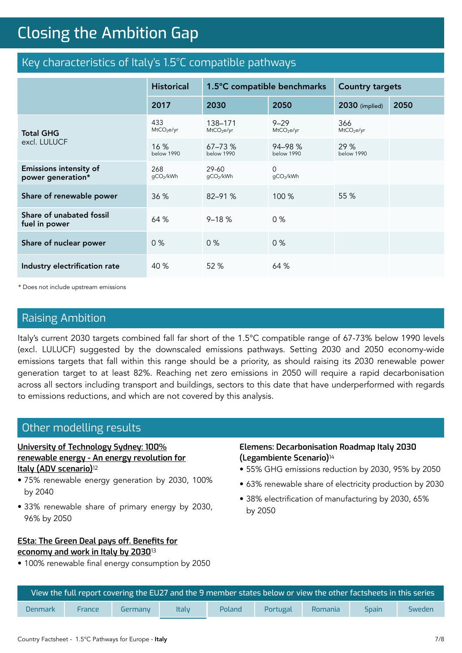# **Closing the Ambition Gap** Closing the Ambition Gap

### Key characteristics of Italy's 1.5°C compatible pathways

|                                                    | <b>Historical</b>             | 1.5°C compatible benchmarks       |                                    | <b>Country targets</b>        |      |
|----------------------------------------------------|-------------------------------|-----------------------------------|------------------------------------|-------------------------------|------|
|                                                    | 2017                          | 2030                              | 2050                               | 2030 (implied)                | 2050 |
| <b>Total GHG</b><br>excl. LULUCF                   | 433<br>MtCO <sub>2</sub> e/yr | 138-171<br>MtCO <sub>2</sub> e/yr | $9 - 29$<br>MtCO <sub>2</sub> e/yr | 366<br>MtCO <sub>2</sub> e/yr |      |
|                                                    | 16%<br>below 1990             | $67 - 73%$<br>below 1990          | 94-98 %<br>below 1990              | 29%<br>below 1990             |      |
| <b>Emissions intensity of</b><br>power generation* | 268<br>gCO2/kWh               | $29 - 60$<br>gCO2/kWh             | $\Omega$<br>gCO2/kWh               |                               |      |
| Share of renewable power                           | 36 %                          | 82-91 %                           | 100 %                              | 55 %                          |      |
| Share of unabated fossil<br>fuel in power          | 64 %                          | $9 - 18%$                         | 0%                                 |                               |      |
| Share of nuclear power                             | 0%                            | 0%                                | 0%                                 |                               |      |
| Industry electrification rate                      | 40 %                          | 52 %                              | 64 %                               |                               |      |

\* Does not include upstream emissions

#### Raising Ambition

Italy's current 2030 targets combined fall far short of the 1.5°C compatible range of 67-73% below 1990 levels (excl. LULUCF) suggested by the downscaled emissions pathways. Setting 2030 and 2050 economy-wide emissions targets that fall within this range should be a priority, as should raising its 2030 renewable power generation target to at least 82%. Reaching net zero emissions in 2050 will require a rapid decarbonisation across all sectors including transport and buildings, sectors to this date that have underperformed with regards to emissions reductions, and which are not covered by this analysis.

#### Other modelling results

#### **[University of Technology Sydney: 100%](https://www.uts.edu.au/research-and-teaching/our-research/institute-sustainable-futures/our-research/energy-futures/100-percent-renewable-energy-italy)  [renewable energy - An energy revolution for](https://www.uts.edu.au/research-and-teaching/our-research/institute-sustainable-futures/our-research/energy-futures/100-percent-renewable-energy-italy)  [Italy \(ADV scenario\)](https://www.uts.edu.au/research-and-teaching/our-research/institute-sustainable-futures/our-research/energy-futures/100-percent-renewable-energy-italy)**<sup>12</sup>

- 75% renewable energy generation by 2030, 100% by 2040
- 33% renewable share of primary energy by 2030, 96% by 2050

#### **[ESta: The Green Deal pays o](https://www.italiaclima.org/wp-content/uploads/2020/10/Il-Green-Deal-conviene-Italian-Climate-Network.pdf)ff. Benefits for [economy and work in Italy by 2030](https://www.italiaclima.org/wp-content/uploads/2020/10/Il-Green-Deal-conviene-Italian-Climate-Network.pdf)**<sup>13</sup>

• 100% renewable final energy consumption by 2050

#### **Elemens: Decarbonisation Roadmap Italy 2030 (Legambiente Scenario)**<sup>14</sup>

- 55% GHG emissions reduction by 2030, 95% by 2050
- 63% renewable share of electricity production by 2030
- 38% electrification of manufacturing by 2030, 65% by 2050

| View the full report covering the EU27 and the 9 member states below or view the other factsheets in this series $^{\rm !}$ |        |         |              |        |          |         |              |        |
|-----------------------------------------------------------------------------------------------------------------------------|--------|---------|--------------|--------|----------|---------|--------------|--------|
| <b>Denmark</b>                                                                                                              | France | Germany | <b>Italy</b> | Poland | Portugal | Romania | <b>Spain</b> | Sweden |